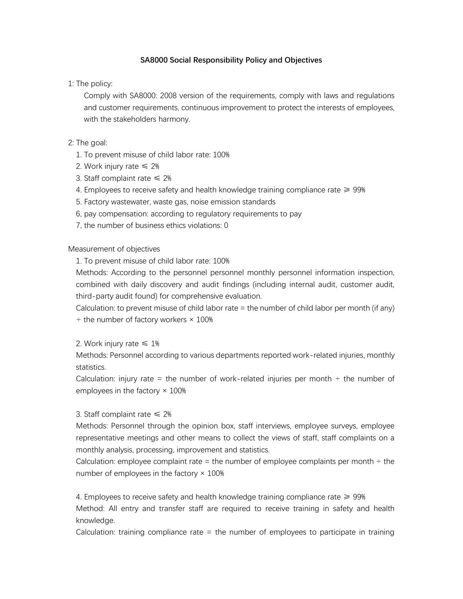#### **SA8000 Social Responsibility Policy and Objectives**

1: The policy:

Comply with SA8000: 2008 version of the requirements, comply with laws and regulations and customer requirements, continuous improvement to protect the interests of employees, with the stakeholders harmony.

# 2: The goal:

- 1. To prevent misuse of child labor rate: 100%
- 2. Work injury rate  $\leq 2\%$
- 3. Staff complaint rate  $\leq 2\%$
- 4. Employees to receive safety and health knowledge training compliance rate  $\geq 99\%$
- 5. Factory wastewater, waste gas, noise emission standards
- 6, pay compensation: according to regulatory requirements to pay
- 7, the number of business ethics violations: 0

## Measurement of objectives

1. To prevent misuse of child labor rate: 100%

Methods: According to the personnel personnel monthly personnel information inspection, combined with daily discovery and audit findings (including internal audit, customer audit, third-party audit found) for comprehensive evaluation.

Calculation: to prevent misuse of child labor rate = the number of child labor per month (if any)  $\div$  the number of factory workers  $\times$  100%

## 2. Work injury rate  $\leq 1\%$

Methods: Personnel according to various departments reported work-related injuries, monthly statistics.

Calculation: injury rate = the number of work-related injuries per month  $\div$  the number of employees in the factory  $\times$  100%

## 3. Staff complaint rate  $\leq 2\%$

Methods: Personnel through the opinion box, staff interviews, employee surveys, employee representative meetings and other means to collect the views of staff, staff complaints on a monthly analysis, processing, improvement and statistics.

Calculation: employee complaint rate = the number of employee complaints per month  $\div$  the number of employees in the factory  $\times$  100%

4. Employees to receive safety and health knowledge training compliance rate  $\geq 99\%$ Method: All entry and transfer staff are required to receive training in safety and health knowledge.

Calculation: training compliance rate = the number of employees to participate in training